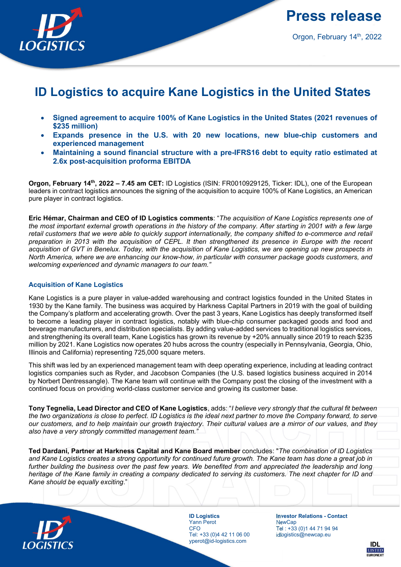

Press release

Orgon, February 14th, 2022

# ID Logistics to acquire Kane Logistics in the United States

- Signed agreement to acquire 100% of Kane Logistics in the United States (2021 revenues of \$235 million)
- Expands presence in the U.S. with 20 new locations, new blue-chip customers and experienced management
- Maintaining a sound financial structure with a pre-IFRS16 debt to equity ratio estimated at 2.6x post-acquisition proforma EBITDA

Orgon, February 14<sup>th</sup>, 2022 – 7.45 am CET: ID Logistics (ISIN: FR0010929125, Ticker: IDL), one of the European leaders in contract logistics announces the signing of the acquisition to acquire 100% of Kane Logistics, an American pure player in contract logistics.

Eric Hémar, Chairman and CEO of ID Logistics comments: "The acquisition of Kane Logistics represents one of the most important external growth operations in the history of the company. After starting in 2001 with a few large retail customers that we were able to quickly support internationally, the company shifted to e-commerce and retail preparation in 2013 with the acquisition of CEPL. It then strengthened its presence in Europe with the recent acquisition of GVT in Benelux. Today, with the acquisition of Kane Logistics, we are opening up new prospects in North America, where we are enhancing our know-how, in particular with consumer package goods customers, and welcoming experienced and dynamic managers to our team."

## Acquisition of Kane Logistics

Kane Logistics is a pure player in value-added warehousing and contract logistics founded in the United States in 1930 by the Kane family. The business was acquired by Harkness Capital Partners in 2019 with the goal of building the Company's platform and accelerating growth. Over the past 3 years, Kane Logistics has deeply transformed itself to become a leading player in contract logistics, notably with blue-chip consumer packaged goods and food and beverage manufacturers, and distribution specialists. By adding value-added services to traditional logistics services, and strengthening its overall team, Kane Logistics has grown its revenue by +20% annually since 2019 to reach \$235 million by 2021. Kane Logistics now operates 20 hubs across the country (especially in Pennsylvania, Georgia, Ohio, Illinois and California) representing 725,000 square meters.

This shift was led by an experienced management team with deep operating experience, including at leading contract logistics companies such as Ryder, and Jacobson Companies (the U.S. based logistics business acquired in 2014 by Norbert Dentressangle). The Kane team will continue with the Company post the closing of the investment with a continued focus on providing world-class customer service and growing its customer base.

Tony Tegnelia, Lead Director and CEO of Kane Logistics, adds: "I believe very strongly that the cultural fit between the two organizations is close to perfect. ID Logistics is the ideal next partner to move the Company forward, to serve our customers, and to help maintain our growth trajectory. Their cultural values are a mirror of our values, and they also have a very strongly committed management team."

Ted Dardani, Partner at Harkness Capital and Kane Board member concludes: "The combination of ID Logistics and Kane Logistics creates a strong opportunity for continued future growth. The Kane team has done a great job in further building the business over the past few years. We benefited from and appreciated the leadership and long heritage of the Kane family in creating a company dedicated to serving its customers. The next chapter for ID and Kane should be equally exciting."



ID Logistics Yann Perot **CFO** Tel: +33 (0)4 42 11 06 00 yperot@id-logistics.com

Investor Relations - Contact **NewCap** Tel : +33 (0)1 44 71 94 94 idlogistics@newcap.eu

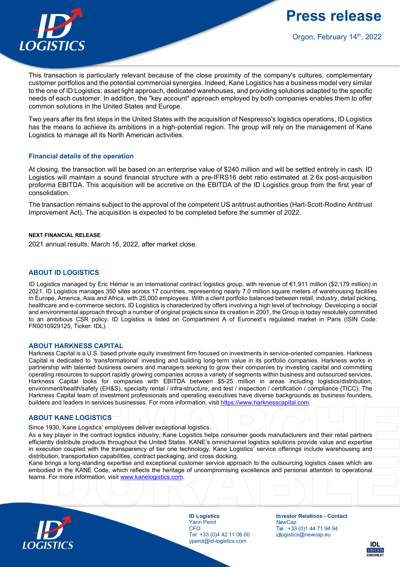**LOGISTICS** 

Press release

Orgon, February 14th, 2022

This transaction is particularly relevant because of the close proximity of the company's cultures, complementary customer portfolios and the potential commercial synergies. Indeed, Kane Logistics has a business model very similar to the one of ID Logistics: asset light approach, dedicated warehouses, and providing solutions adapted to the specific needs of each customer. In addition, the "key account" approach employed by both companies enables them to offer common solutions in the United States and Europe.

Two years after its first steps in the United States with the acquisition of Nespresso's logistics operations, ID Logistics has the means to achieve its ambitions in a high-potential region. The group will rely on the management of Kane Logistics to manage all its North American activities.

## Financial details of the operation

At closing, the transaction will be based on an enterprise value of \$240 million and will be settled entirely in cash. ID Logistics will maintain a sound financial structure with a pre-IFRS16 debt ratio estimated at 2.6x post-acquisition proforma EBITDA. This acquisition will be accretive on the EBITDA of the ID Logistics group from the first year of consolidation.

The transaction remains subject to the approval of the competent US antitrust authorities (Hart-Scott-Rodino Antitrust Improvement Act). The acquisition is expected to be completed before the summer of 2022.

### NEXT FINANCIAL RELEASE

2021 annual results: March 16, 2022, after market close.

## ABOUT ID LOGISTICS

ID Logistics managed by Eric Hémar is an international contract logistics group, with revenue of €1,911 million (\$2,179 million) in 2021. ID Logistics manages 350 sites across 17 countries, representing nearly 7.0 million square meters of warehousing facilities in Europe, America, Asia and Africa, with 25,000 employees. With a client portfolio balanced between retail, industry, detail picking, healthcare and e-commerce sectors, ID Logistics is characterized by offers involving a high level of technology. Developing a social and environmental approach through a number of original projects since its creation in 2001, the Group is today resolutely committed to an ambitious CSR policy. ID Logistics is listed on Compartment A of Euronext's regulated market in Paris (ISIN Code: FR0010929125, Ticker: IDL).

#### ABOUT HARKNESS CAPITAL

Harkness Capital is a U.S. based private equity investment firm focused on investments in service-oriented companies. Harkness Capital is dedicated to 'transformational' investing and building long-term value in its portfolio companies. Harkness works in partnership with talented business owners and managers seeking to grow their companies by investing capital and committing operating resources to support rapidly growing companies across a variety of segments within business and outsourced services. Harkness Capital looks for companies with EBITDA between \$5-25 million in areas including logistics/distribution, environment/health/safety (EH&S), specialty rental / infra-structure, and test / inspection / certification / compliance (TICC). The Harkness Capital team of investment professionals and operating executives have diverse backgrounds as business founders, builders and leaders in services businesses. For more information, visit https://www.harknesscapital.com.

## ABOUT KANE LOGISTICS

Since 1930, Kane Logistics' employees deliver exceptional logistics.

As a key player in the contract logistics industry, Kane Logistics helps consumer goods manufacturers and their retail partners efficiently distribute products throughout the United States. KANE's omnichannel logistics solutions provide value and expertise in execution coupled with the transparency of tier one technology. Kane Logistics' service offerings include warehousing and distribution, transportation capabilities, contract packaging, and cross docking.

Kane brings a long-standing expertise and exceptional customer service approach to the outsourcing logistics cases which are embodied in the KANE Code, which reflects the heritage of uncompromising excellence and personal attention to operational teams. For more information, visit www.kanelogistics.com.



ID Logistics Yann Perot CFO Tel: +33 (0)4 42 11 06 00 yperot@id-logistics.com

Investor Relations - Contact NewCan Tel : +33 (0)1 44 71 94 94 idlogistics@newcap.eu